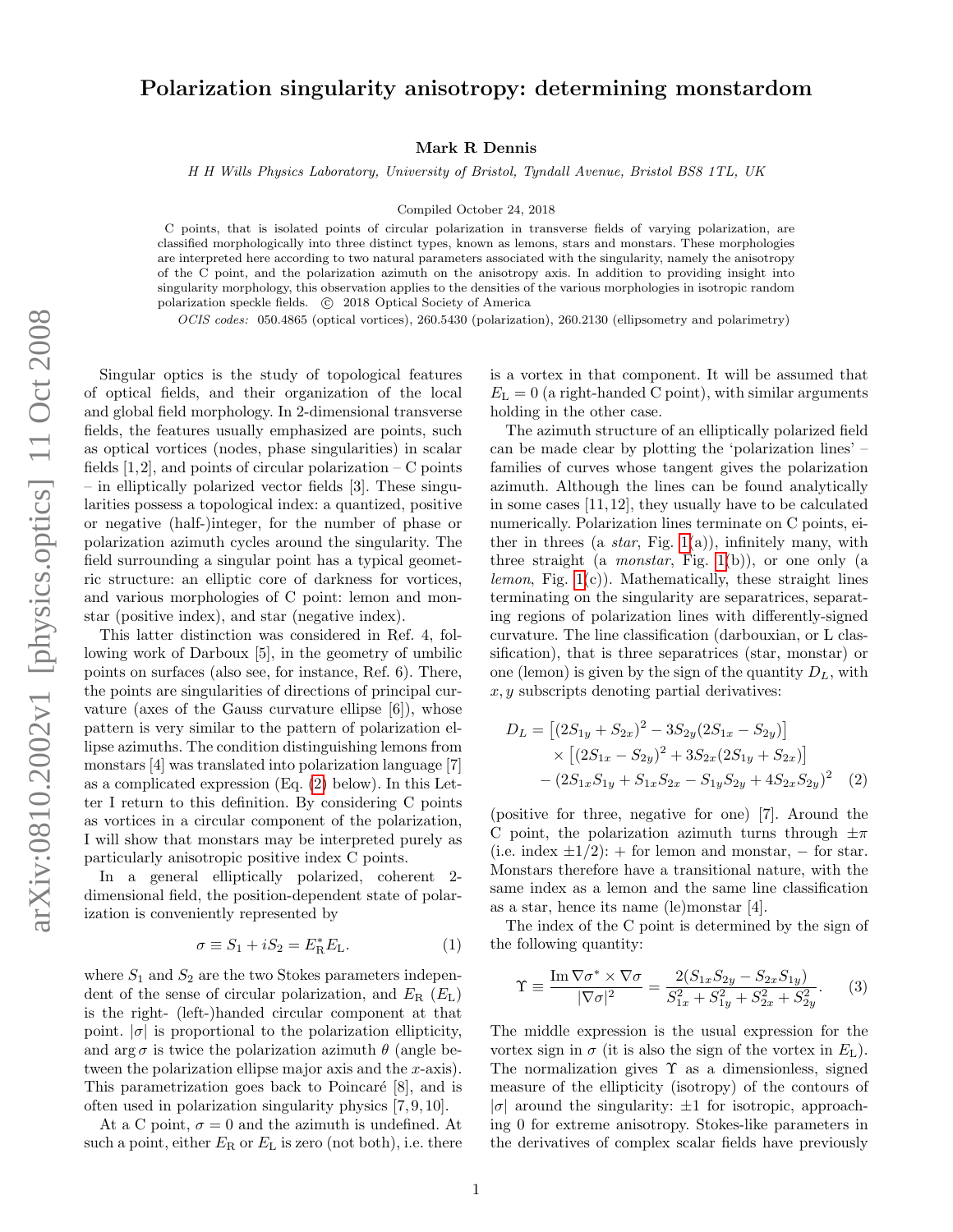## Polarization singularity anisotropy: determining monstardom

Mark R Dennis

H H Wills Physics Laboratory, University of Bristol, Tyndall Avenue, Bristol BS8 1TL, UK

Compiled October 24, 2018

C points, that is isolated points of circular polarization in transverse fields of varying polarization, are classified morphologically into three distinct types, known as lemons, stars and monstars. These morphologies are interpreted here according to two natural parameters associated with the singularity, namely the anisotropy of the C point, and the polarization azimuth on the anisotropy axis. In addition to providing insight into singularity morphology, this observation applies to the densities of the various morphologies in isotropic random polarization speckle fields.  $\circ$  2018 Optical Society of America

OCIS codes: 050.4865 (optical vortices), 260.5430 (polarization), 260.2130 (ellipsometry and polarimetry)

Singular optics is the study of topological features of optical fields, and their organization of the local and global field morphology. In 2-dimensional transverse fields, the features usually emphasized are points, such as optical vortices (nodes, phase singularities) in scalar fields  $[1,2]$ , and points of circular polarization – C points – in elliptically polarized vector fields [3]. These singularities possess a topological index: a quantized, positive or negative (half-)integer, for the number of phase or polarization azimuth cycles around the singularity. The field surrounding a singular point has a typical geometric structure: an elliptic core of darkness for vortices, and various morphologies of C point: lemon and monstar (positive index), and star (negative index).

This latter distinction was considered in Ref. 4, following work of Darboux [5], in the geometry of umbilic points on surfaces (also see, for instance, Ref. 6). There, the points are singularities of directions of principal curvature (axes of the Gauss curvature ellipse [6]), whose pattern is very similar to the pattern of polarization ellipse azimuths. The condition distinguishing lemons from monstars [4] was translated into polarization language [7] as a complicated expression (Eq. [\(2\)](#page-0-0) below). In this Letter I return to this definition. By considering C points as vortices in a circular component of the polarization, I will show that monstars may be interpreted purely as particularly anisotropic positive index C points.

In a general elliptically polarized, coherent 2 dimensional field, the position-dependent state of polarization is conveniently represented by

$$
\sigma \equiv S_1 + iS_2 = E_R^* E_L. \tag{1}
$$

where  $S_1$  and  $S_2$  are the two Stokes parameters independent of the sense of circular polarization, and  $E_R$  ( $E_L$ ) is the right- (left-)handed circular component at that point.  $|\sigma|$  is proportional to the polarization ellipticity, and  $\arg \sigma$  is twice the polarization azimuth  $\theta$  (angle between the polarization ellipse major axis and the x-axis). This parametrization goes back to Poincaré  $[8]$ , and is often used in polarization singularity physics [7, 9, 10].

At a C point,  $\sigma = 0$  and the azimuth is undefined. At such a point, either  $E_R$  or  $E_L$  is zero (not both), i.e. there is a vortex in that component. It will be assumed that  $E_{\rm L} = 0$  (a right-handed C point), with similar arguments holding in the other case.

The azimuth structure of an elliptically polarized field can be made clear by plotting the 'polarization lines' – families of curves whose tangent gives the polarization azimuth. Although the lines can be found analytically in some cases [11, 12], they usually have to be calculated numerically. Polarization lines terminate on C points, either in threes (a *star*, Fig. [1\(](#page-1-0)a)), infinitely many, with three straight (a *monstar*, Fig. [1\(](#page-1-0)b)), or one only (a *lemon*, Fig.  $1(c)$ ). Mathematically, these straight lines terminating on the singularity are separatrices, separating regions of polarization lines with differently-signed curvature. The line classification (darbouxian, or L classification), that is three separatrices (star, monstar) or one (lemon) is given by the sign of the quantity  $D<sub>L</sub>$ , with  $x, y$  subscripts denoting partial derivatives:

<span id="page-0-0"></span>
$$
D_L = [(2S_{1y} + S_{2x})^2 - 3S_{2y}(2S_{1x} - S_{2y})]
$$
  
× [(2S\_{1x} - S\_{2y})^2 + 3S\_{2x}(2S\_{1y} + S\_{2x})]  
-(2S\_{1x}S\_{1y} + S\_{1x}S\_{2x} - S\_{1y}S\_{2y} + 4S\_{2x}S\_{2y})^2 (2)

(positive for three, negative for one) [7]. Around the C point, the polarization azimuth turns through  $\pm \pi$ (i.e. index  $\pm 1/2$ ): + for lemon and monstar, – for star. Monstars therefore have a transitional nature, with the same index as a lemon and the same line classification as a star, hence its name (le)monstar [4].

The index of the C point is determined by the sign of the following quantity:

<span id="page-0-1"></span>
$$
\Upsilon \equiv \frac{\text{Im}\,\nabla\sigma^* \times \nabla\sigma}{|\nabla\sigma|^2} = \frac{2(S_{1x}S_{2y} - S_{2x}S_{1y})}{S_{1x}^2 + S_{1y}^2 + S_{2x}^2 + S_{2y}^2}.
$$
 (3)

The middle expression is the usual expression for the vortex sign in  $\sigma$  (it is also the sign of the vortex in  $E_{\rm L}$ ). The normalization gives  $\Upsilon$  as a dimensionless, signed measure of the ellipticity (isotropy) of the contours of  $|\sigma|$  around the singularity:  $\pm 1$  for isotropic, approaching 0 for extreme anisotropy. Stokes-like parameters in the derivatives of complex scalar fields have previously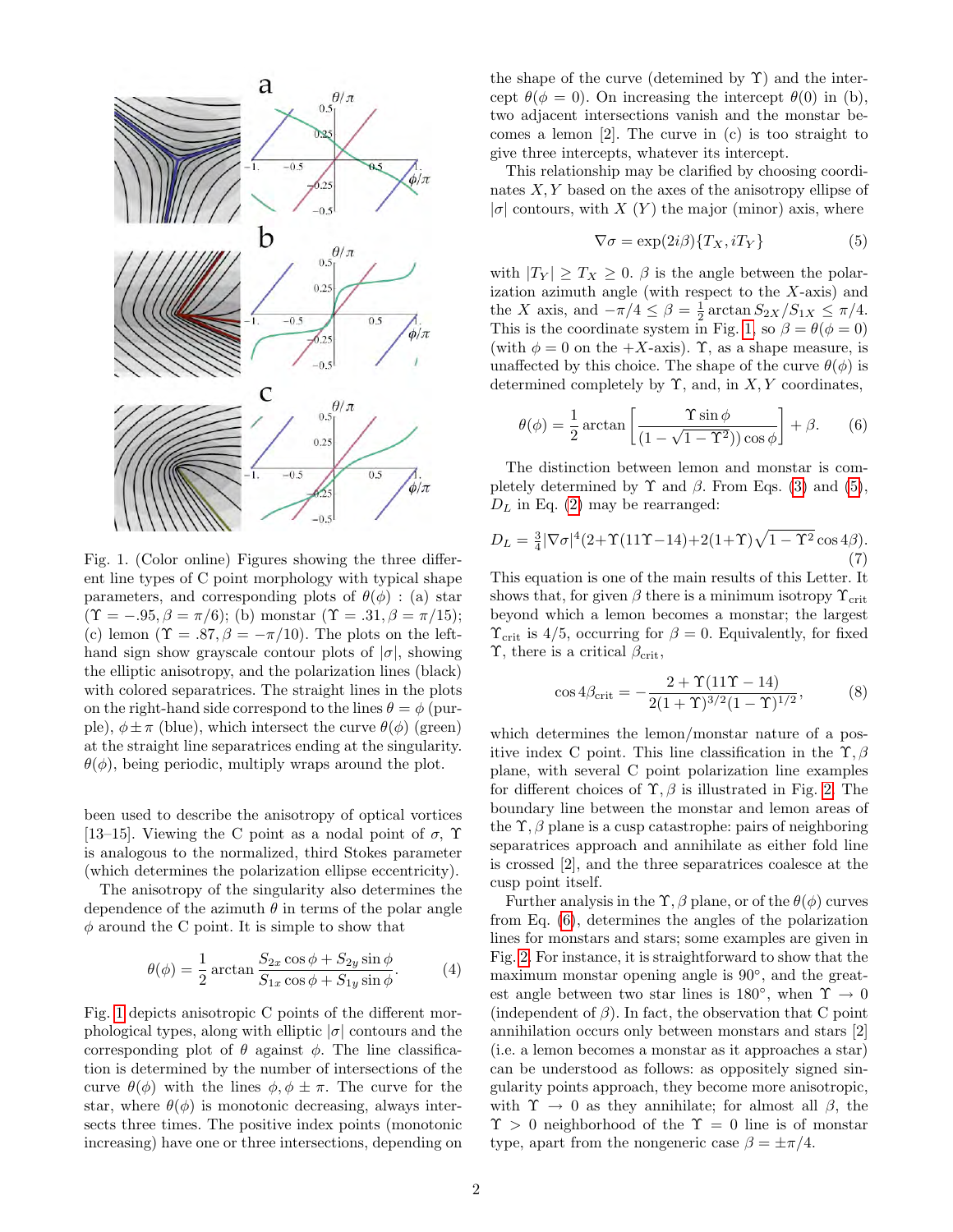

<span id="page-1-0"></span>Fig. 1. (Color online) Figures showing the three different line types of C point morphology with typical shape parameters, and corresponding plots of  $\theta(\phi)$ : (a) star  $(\Upsilon = -.95, \beta = \pi/6)$ ; (b) monstar  $(\Upsilon = .31, \beta = \pi/15)$ ; (c) lemon ( $\Upsilon = .87, \beta = -\pi/10$ ). The plots on the lefthand sign show grayscale contour plots of  $|\sigma|$ , showing the elliptic anisotropy, and the polarization lines (black) with colored separatrices. The straight lines in the plots on the right-hand side correspond to the lines  $\theta = \phi$  (purple),  $\phi \pm \pi$  (blue), which intersect the curve  $\theta(\phi)$  (green) at the straight line separatrices ending at the singularity.  $\theta(\phi)$ , being periodic, multiply wraps around the plot.

been used to describe the anisotropy of optical vortices [13–15]. Viewing the C point as a nodal point of  $\sigma$ ,  $\Upsilon$ is analogous to the normalized, third Stokes parameter (which determines the polarization ellipse eccentricity).

The anisotropy of the singularity also determines the dependence of the azimuth  $\theta$  in terms of the polar angle  $\phi$  around the C point. It is simple to show that

$$
\theta(\phi) = \frac{1}{2} \arctan \frac{S_{2x} \cos \phi + S_{2y} \sin \phi}{S_{1x} \cos \phi + S_{1y} \sin \phi}.
$$
 (4)

Fig. [1](#page-1-0) depicts anisotropic C points of the different morphological types, along with elliptic  $|\sigma|$  contours and the corresponding plot of  $\theta$  against  $\phi$ . The line classification is determined by the number of intersections of the curve  $\theta(\phi)$  with the lines  $\phi, \phi \pm \pi$ . The curve for the star, where  $\theta(\phi)$  is monotonic decreasing, always intersects three times. The positive index points (monotonic increasing) have one or three intersections, depending on the shape of the curve (detemined by  $\Upsilon$ ) and the intercept  $\theta(\phi = 0)$ . On increasing the intercept  $\theta(0)$  in (b), two adjacent intersections vanish and the monstar becomes a lemon [2]. The curve in (c) is too straight to give three intercepts, whatever its intercept.

This relationship may be clarified by choosing coordinates  $X, Y$  based on the axes of the anisotropy ellipse of  $|\sigma|$  contours, with X  $(Y)$  the major (minor) axis, where

<span id="page-1-2"></span><span id="page-1-1"></span>
$$
\nabla \sigma = \exp(2i\beta) \{T_X, iT_Y\} \tag{5}
$$

with  $|T_Y| \geq T_X \geq 0$ .  $\beta$  is the angle between the polarization azimuth angle (with respect to the  $X$ -axis) and the X axis, and  $-\pi/4 \leq \beta = \frac{1}{2} \arctan S_{2X}/S_{1X} \leq \pi/4$ . This is the coordinate system in Fig. [1,](#page-1-0) so  $\beta = \theta(\phi = 0)$ (with  $\phi = 0$  on the  $+X$ -axis).  $\Upsilon$ , as a shape measure, is unaffected by this choice. The shape of the curve  $\theta(\phi)$  is determined completely by  $\Upsilon$ , and, in X, Y coordinates,

<span id="page-1-5"></span>
$$
\theta(\phi) = \frac{1}{2} \arctan\left[\frac{\Upsilon \sin \phi}{(1 - \sqrt{1 - \Upsilon^2})\cos \phi}\right] + \beta. \tag{6}
$$

The distinction between lemon and monstar is completely determined by  $\Upsilon$  and  $\beta$ . From Eqs. [\(3\)](#page-0-1) and [\(5\)](#page-1-1),  $D_L$  in Eq. [\(2\)](#page-0-0) may be rearranged:

$$
D_L = \frac{3}{4} |\nabla \sigma|^4 (2 + \Upsilon (11\Upsilon - 14) + 2(1+\Upsilon)\sqrt{1-\Upsilon^2} \cos 4\beta).
$$
\n(7)

This equation is one of the main results of this Letter. It shows that, for given  $\beta$  there is a minimum isotropy  $\Upsilon_{\text{crit}}$ beyond which a lemon becomes a monstar; the largest  $\Upsilon_{\text{crit}}$  is 4/5, occurring for  $\beta = 0$ . Equivalently, for fixed  $\Upsilon$ , there is a critical  $\beta_{\rm crit}$ ,

<span id="page-1-3"></span>
$$
\cos 4\beta_{\rm crit} = -\frac{2 + \Upsilon (11\Upsilon - 14)}{2(1 + \Upsilon)^{3/2}(1 - \Upsilon)^{1/2}},
$$
 (8)

which determines the lemon/monstar nature of a positive index C point. This line classification in the  $\Upsilon$ ,  $\beta$ plane, with several C point polarization line examples for different choices of  $\Upsilon$ ,  $\beta$  is illustrated in Fig. [2.](#page-2-0) The boundary line between the monstar and lemon areas of the  $\Upsilon$ ,  $\beta$  plane is a cusp catastrophe: pairs of neighboring separatrices approach and annihilate as either fold line is crossed [2], and the three separatrices coalesce at the cusp point itself.

<span id="page-1-4"></span>Further analysis in the  $\Upsilon$ ,  $\beta$  plane, or of the  $\theta(\phi)$  curves from Eq. [\(6\)](#page-1-2), determines the angles of the polarization lines for monstars and stars; some examples are given in Fig. [2.](#page-2-0) For instance, it is straightforward to show that the maximum monstar opening angle is 90◦ , and the greatest angle between two star lines is  $180^\circ$ , when  $\Upsilon \to 0$ (independent of  $\beta$ ). In fact, the observation that C point annihilation occurs only between monstars and stars [2] (i.e. a lemon becomes a monstar as it approaches a star) can be understood as follows: as oppositely signed singularity points approach, they become more anisotropic, with  $\Upsilon \rightarrow 0$  as they annihilate; for almost all  $\beta$ , the  $\Upsilon > 0$  neighborhood of the  $\Upsilon = 0$  line is of monstar type, apart from the nongeneric case  $\beta = \pm \pi/4$ .